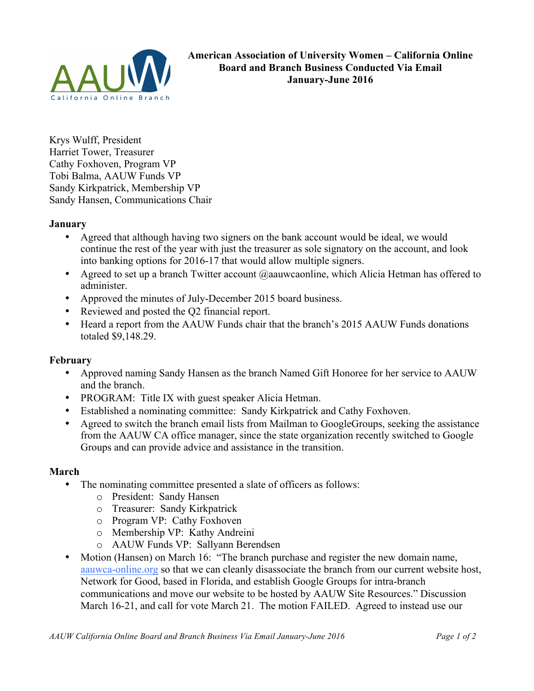

Krys Wulff, President Harriet Tower, Treasurer Cathy Foxhoven, Program VP Tobi Balma, AAUW Funds VP Sandy Kirkpatrick, Membership VP Sandy Hansen, Communications Chair

### **January**

- Agreed that although having two signers on the bank account would be ideal, we would continue the rest of the year with just the treasurer as sole signatory on the account, and look into banking options for 2016-17 that would allow multiple signers.
- Agreed to set up a branch Twitter account @aauwcaonline, which Alicia Hetman has offered to administer.
- Approved the minutes of July-December 2015 board business.
- Reviewed and posted the Q2 financial report.
- Heard a report from the AAUW Funds chair that the branch's 2015 AAUW Funds donations totaled \$9,148.29.

#### **February**

- Approved naming Sandy Hansen as the branch Named Gift Honoree for her service to AAUW and the branch.
- PROGRAM: Title IX with guest speaker Alicia Hetman.
- Established a nominating committee: Sandy Kirkpatrick and Cathy Foxhoven.
- Agreed to switch the branch email lists from Mailman to GoogleGroups, seeking the assistance from the AAUW CA office manager, since the state organization recently switched to Google Groups and can provide advice and assistance in the transition.

#### **March**

- The nominating committee presented a slate of officers as follows:
	- o President: Sandy Hansen
	- o Treasurer: Sandy Kirkpatrick
	- o Program VP: Cathy Foxhoven
	- o Membership VP: Kathy Andreini
	- o AAUW Funds VP: Sallyann Berendsen
- Motion (Hansen) on March 16: "The branch purchase and register the new domain name, aauwca-online.org so that we can cleanly disassociate the branch from our current website host, Network for Good, based in Florida, and establish Google Groups for intra-branch communications and move our website to be hosted by AAUW Site Resources." Discussion March 16-21, and call for vote March 21. The motion FAILED. Agreed to instead use our